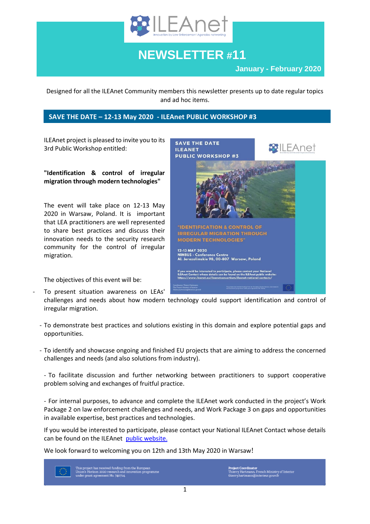

# **NEWSLETTER #11**

**January - February 2020**

Designed for all the ILEAnet Community members this newsletter presents up to date regular topics and ad hoc items.

## **SAVE THE DATE – 12-13 May 2020 - ILEAnet PUBLIC WORKSHOP #3**

ILEAnet project is pleased to invite you to its 3rd Public Workshop entitled:

**"Identification & control of irregular migration through modern technologies"**

The event will take place on 12-13 May 2020 in Warsaw, Poland. It is important that LEA practitioners are well represented to share best practices and discuss their innovation needs to the security research community for the control of irregular migration.

The objectives of this event will be:

To present situation awareness on LEAs'



challenges and needs about how modern technology could support identification and control of irregular migration.

- To demonstrate best practices and solutions existing in this domain and explore potential gaps and opportunities.
- To identify and showcase ongoing and finished EU projects that are aiming to address the concerned challenges and needs (and also solutions from industry).

- To facilitate discussion and further networking between practitioners to support cooperative problem solving and exchanges of fruitful practice.

- For internal purposes, to advance and complete the ILEAnet work conducted in the project's Work Package 2 on law enforcement challenges and needs, and Work Package 3 on gaps and opportunities in available expertise, best practices and technologies.

If you would be interested to participate, please contact your National ILEAnet Contact whose details can be found on the ILEAnet [public website.](https://www.ileanet.eu/ileanetconsortium/ileanet-national-contacts/)

We look forward to welcoming you on 12th and 13th May 2020 in Warsaw!

This project has received funding from the European<br>Union's Horizon 2020 research and innovation programme<br>under grant agreement No. 740714.

Project Coordinator<br>Thierry Hartmann, French Ministry of Interior<br>thierry.hartmann@interieur.gouv.fr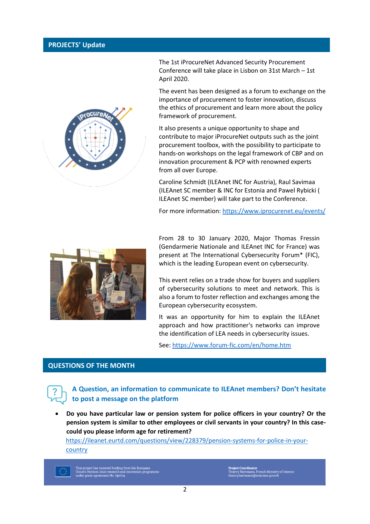#### **PROJECTS' Update**



The 1st iProcureNet Advanced Security Procurement Conference will take place in Lisbon on 31st March – 1st April 2020.

The event has been designed as a forum to exchange on the importance of procurement to foster innovation, discuss the ethics of procurement and learn more about the policy framework of procurement.

It also presents a unique opportunity to shape and contribute to major iProcureNet outputs such as the joint procurement toolbox, with the possibility to participate to hands-on workshops on the legal framework of CBP and on innovation procurement & PCP with renowned experts from all over Europe.

Caroline Schmidt (ILEAnet INC for Austria), Raul Savimaa (ILEAnet SC member & INC for Estonia and Pawel Rybicki ( ILEAnet SC member) will take part to the Conference.

For more information:<https://www.iprocurenet.eu/events/>



From 28 to 30 January 2020, Major Thomas Fressin (Gendarmerie Nationale and ILEAnet INC for France) was present at The International Cybersecurity Forum\* (FIC), which is the leading European event on cybersecurity.

This event relies on a trade show for buyers and suppliers of cybersecurity solutions to meet and network. This is also a forum to foster reflection and exchanges among the European cybersecurity ecosystem.

It was an opportunity for him to explain the ILEAnet approach and how practitioner's networks can improve the identification of LEA needs in cybersecurity issues.

See:<https://www.forum-fic.com/en/home.htm>

## **QUESTIONS OF THE MONTH**

**A Question, an information to communicate to ILEAnet members? Don't hesitate to post a message on the platform**

 **Do you have particular law or pension system for police officers in your country? Or the pension system is similar to other employees or civil servants in your country? In this casecould you please inform age for retirement?**

[https://ileanet.eurtd.com/questions/view/228379/pension-systems-for-police-in-your](https://ileanet.eurtd.com/questions/view/228379/pension-systems-for-police-in-your-)country



nis project has received funding from the European<br>nion's Horizon 2020 research and innovation programm<br>nder crant acreement No. 740714

ject Coordinator<br>erry Hartmann, French Ministry of Interio:<br>rry.hartmann@interieur.gouv.fr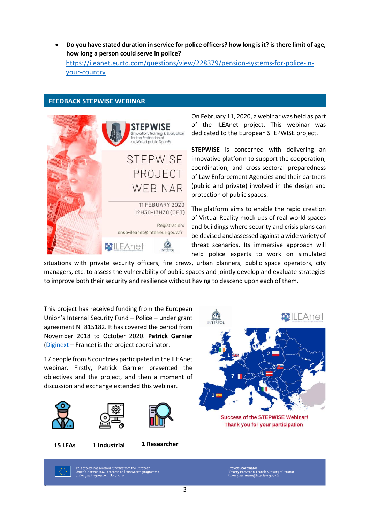**Do you have stated duration in service for police officers? how long is it? is there limit of age, how long a person could serve in police?** [https://ileanet.eurtd.com/questions/view/228379/pension-systems-for-police-in](https://ileanet.eurtd.com/questions/view/228379/pension-systems-for-police-in-your-country)[your-country](https://ileanet.eurtd.com/questions/view/228379/pension-systems-for-police-in-your-country)

#### **FEEDBACK STEPWISE WEBINAR**



On February 11, 2020, a webinar was held as part of the ILEAnet project. This webinar was dedicated to the European STEPWISE project.

**STEPWISE** is concerned with delivering an innovative platform to support the cooperation, coordination, and cross-sectoral preparedness of Law Enforcement Agencies and their partners (public and private) involved in the design and protection of public spaces.

The platform aims to enable the rapid creation of Virtual Reality mock-ups of real-world spaces and buildings where security and crisis plans can be devised and assessed against a wide variety of threat scenarios. Its immersive approach will help police experts to work on simulated

situations with private security officers, fire crews, urban planners, public space operators, city managers, etc. to assess the vulnerability of public spaces and jointly develop and evaluate strategies to improve both their security and resilience without having to descend upon each of them.

This project has received funding from the European Union's Internal Security Fund – Police – under grant agreement N° 815182. It has covered the period from November 2018 to October 2020. **Patrick Garnier** [\(Diginext](https://www.diginext.fr/en/) – France) is the project coordinator.

17 people from 8 countries participated in the ILEAnet webinar. Firstly, Patrick Garnier presented the objectives and the project, and then a moment of discussion and exchange extended this webinar.







**15 LEAs 1 1 Researcher Industrial**



**Success of the STEPWISE Webinar!** Thank you for your participation

ct has received funding from the European<br>prizon 2020 research and innovation progra<br>nt agreement No. 740714.

**ject Coordinator**<br>erry Hartmann, French Ministry of Interior<br>erry.hartmann@interieur.gouv.fr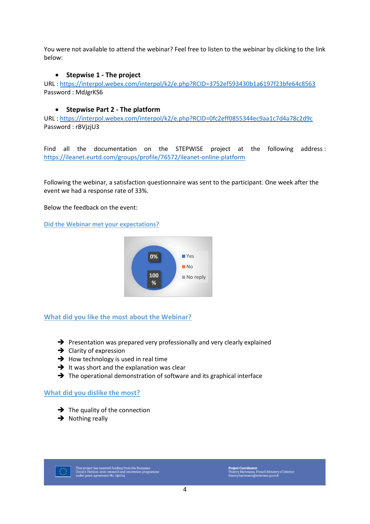You were not available to attend the webinar? Feel free to listen to the webinar by clicking to the link below:

## **Stepwise 1 - The project**

URL :<https://interpol.webex.com/interpol/k2/e.php?RCID=3752ef593430b1a6197f23bfe64c8563> Password : MdJgrKS6

#### **Stepwise Part 2 - The platform**

URL :<https://interpol.webex.com/interpol/k2/e.php?RCID=0fc2eff0855344ec9aa1c7d4a78c2d9c> Password : rBVjzjU3

Find all the documentation on the STEPWISE project at the following address : <https://ileanet.eurtd.com/groups/profile/76572/ileanet-online-platform>

Following the webinar, a satisfaction questionnaire was sent to the participant. One week after the event we had a response rate of 33%.

Below the feedback on the event:

**Did the Webinar met your expectations?**



**What did you like the most about the Webinar?**

- $\rightarrow$  Presentation was prepared very professionally and very clearly explained
- $\rightarrow$  Clarity of expression
- $\rightarrow$  How technology is used in real time
- $\rightarrow$  It was short and the explanation was clear
- $\rightarrow$  The operational demonstration of software and its graphical interface

#### **What did you dislike the most?**

- $\rightarrow$  The quality of the connection
- $\rightarrow$  Nothing really



This project has received funding from the European<br>Union's Horizon 2020 research and innovation programme<br>under grant agreement No. 740714.

Project Coordinator<br>Thierry Hartmann, French Ministry of Interior<br>thierry.hartmann@interieur.gouv.fr